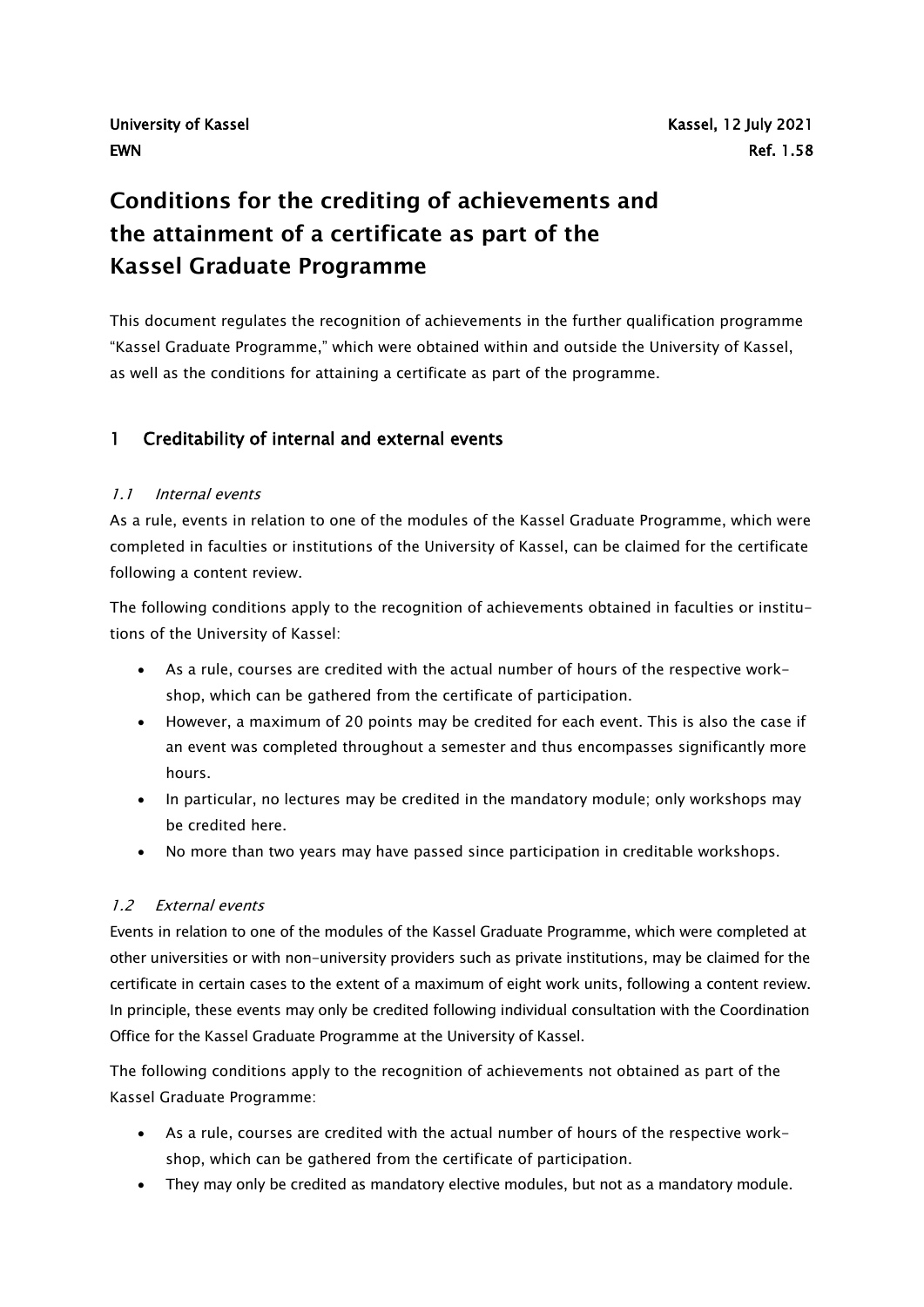# Conditions for the crediting of achievements and the attainment of a certificate as part of the Kassel Graduate Programme

This document regulates the recognition of achievements in the further qualification programme "Kassel Graduate Programme," which were obtained within and outside the University of Kassel, as well as the conditions for attaining a certificate as part of the programme.

## 1 Creditability of internal and external events

#### 1.1 Internal events

As a rule, events in relation to one of the modules of the Kassel Graduate Programme, which were completed in faculties or institutions of the University of Kassel, can be claimed for the certificate following a content review.

The following conditions apply to the recognition of achievements obtained in faculties or institutions of the University of Kassel:

- As a rule, courses are credited with the actual number of hours of the respective workshop, which can be gathered from the certificate of participation.
- However, a maximum of 20 points may be credited for each event. This is also the case if an event was completed throughout a semester and thus encompasses significantly more hours.
- In particular, no lectures may be credited in the mandatory module; only workshops may be credited here.
- No more than two years may have passed since participation in creditable workshops.

#### 1.2 External events

Events in relation to one of the modules of the Kassel Graduate Programme, which were completed at other universities or with non-university providers such as private institutions, may be claimed for the certificate in certain cases to the extent of a maximum of eight work units, following a content review. In principle, these events may only be credited following individual consultation with the Coordination Office for the Kassel Graduate Programme at the University of Kassel.

The following conditions apply to the recognition of achievements not obtained as part of the Kassel Graduate Programme:

- As a rule, courses are credited with the actual number of hours of the respective workshop, which can be gathered from the certificate of participation.
- They may only be credited as mandatory elective modules, but not as a mandatory module.